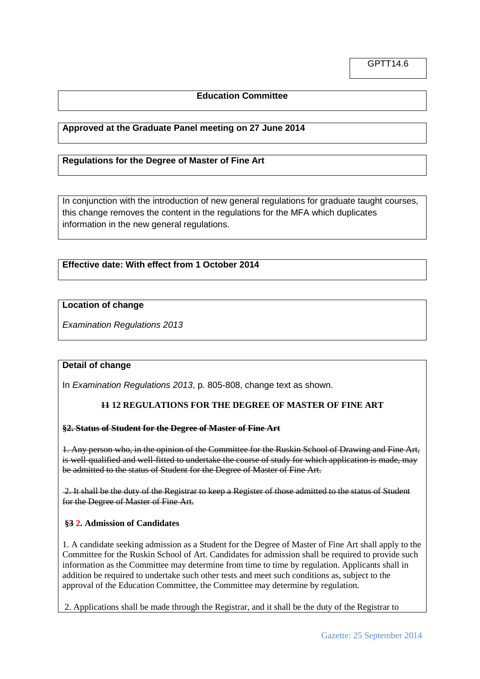#### **Education Committee**

## **Approved at the Graduate Panel meeting on 27 June 2014**

## **Regulations for the Degree of Master of Fine Art**

In conjunction with the introduction of new general regulations for graduate taught courses, this change removes the content in the regulations for the MFA which duplicates information in the new general regulations.

# **Effective date: With effect from 1 October 2014**

#### **Location of change**

*Examination Regulations 2013*

#### **Detail of change**

In *Examination Regulations 2013*, p. 805-808, change text as shown.

#### **11 12 REGULATIONS FOR THE DEGREE OF MASTER OF FINE ART**

#### **§2. Status of Student for the Degree of Master of Fine Art**

1. Any person who, in the opinion of the Committee for the Ruskin School of Drawing and Fine Art, is well-qualified and well-fitted to undertake the course of study for which application is made, may be admitted to the status of Student for the Degree of Master of Fine Art.

2. It shall be the duty of the Registrar to keep a Register of those admitted to the status of Student for the Degree of Master of Fine Art.

#### **§3 2. Admission of Candidates**

1. A candidate seeking admission as a Student for the Degree of Master of Fine Art shall apply to the Committee for the Ruskin School of Art. Candidates for admission shall be required to provide such information as the Committee may determine from time to time by regulation. Applicants shall in addition be required to undertake such other tests and meet such conditions as, subject to the approval of the Education Committee, the Committee may determine by regulation.

2. Applications shall be made through the Registrar, and it shall be the duty of the Registrar to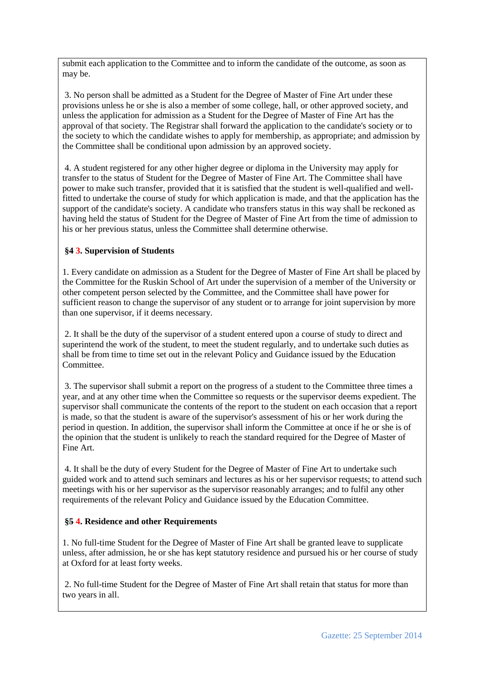submit each application to the Committee and to inform the candidate of the outcome, as soon as may be.

3. No person shall be admitted as a Student for the Degree of Master of Fine Art under these provisions unless he or she is also a member of some college, hall, or other approved society, and unless the application for admission as a Student for the Degree of Master of Fine Art has the approval of that society. The Registrar shall forward the application to the candidate's society or to the society to which the candidate wishes to apply for membership, as appropriate; and admission by the Committee shall be conditional upon admission by an approved society.

4. A student registered for any other higher degree or diploma in the University may apply for transfer to the status of Student for the Degree of Master of Fine Art. The Committee shall have power to make such transfer, provided that it is satisfied that the student is well-qualified and wellfitted to undertake the course of study for which application is made, and that the application has the support of the candidate's society. A candidate who transfers status in this way shall be reckoned as having held the status of Student for the Degree of Master of Fine Art from the time of admission to his or her previous status, unless the Committee shall determine otherwise.

## **§4 3. Supervision of Students**

1. Every candidate on admission as a Student for the Degree of Master of Fine Art shall be placed by the Committee for the Ruskin School of Art under the supervision of a member of the University or other competent person selected by the Committee, and the Committee shall have power for sufficient reason to change the supervisor of any student or to arrange for joint supervision by more than one supervisor, if it deems necessary.

2. It shall be the duty of the supervisor of a student entered upon a course of study to direct and superintend the work of the student, to meet the student regularly, and to undertake such duties as shall be from time to time set out in the relevant Policy and Guidance issued by the Education **Committee** 

3. The supervisor shall submit a report on the progress of a student to the Committee three times a year, and at any other time when the Committee so requests or the supervisor deems expedient. The supervisor shall communicate the contents of the report to the student on each occasion that a report is made, so that the student is aware of the supervisor's assessment of his or her work during the period in question. In addition, the supervisor shall inform the Committee at once if he or she is of the opinion that the student is unlikely to reach the standard required for the Degree of Master of Fine Art.

4. It shall be the duty of every Student for the Degree of Master of Fine Art to undertake such guided work and to attend such seminars and lectures as his or her supervisor requests; to attend such meetings with his or her supervisor as the supervisor reasonably arranges; and to fulfil any other requirements of the relevant Policy and Guidance issued by the Education Committee.

#### **§5 4. Residence and other Requirements**

1. No full-time Student for the Degree of Master of Fine Art shall be granted leave to supplicate unless, after admission, he or she has kept statutory residence and pursued his or her course of study at Oxford for at least forty weeks.

2. No full-time Student for the Degree of Master of Fine Art shall retain that status for more than two years in all.